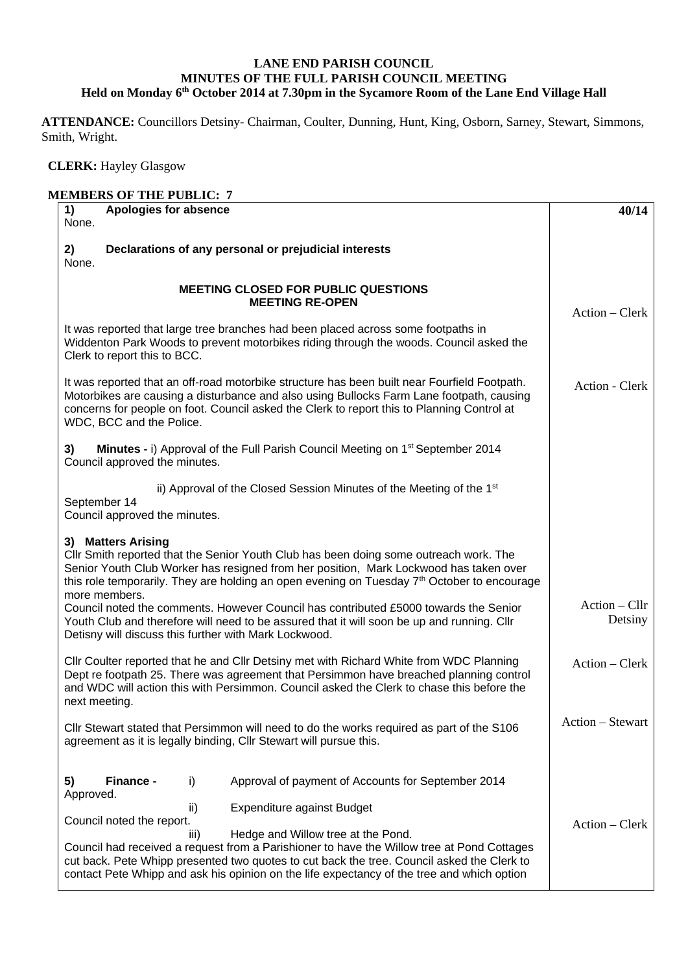## **LANE END PARISH COUNCIL MINUTES OF THE FULL PARISH COUNCIL MEETING Held on Monday 6th October 2014 at 7.30pm in the Sycamore Room of the Lane End Village Hall**

**ATTENDANCE:** Councillors Detsiny- Chairman, Coulter, Dunning, Hunt, King, Osborn, Sarney, Stewart, Simmons, Smith, Wright.

 **CLERK:** Hayley Glasgow

| Apologies for absence<br>1)<br>None.                                                                                                                                                                                                                                                                               |                                                                                                                                                                                                                                                                                           | 40/14            |
|--------------------------------------------------------------------------------------------------------------------------------------------------------------------------------------------------------------------------------------------------------------------------------------------------------------------|-------------------------------------------------------------------------------------------------------------------------------------------------------------------------------------------------------------------------------------------------------------------------------------------|------------------|
| 2)<br>None.                                                                                                                                                                                                                                                                                                        | Declarations of any personal or prejudicial interests                                                                                                                                                                                                                                     |                  |
| <b>MEETING CLOSED FOR PUBLIC QUESTIONS</b>                                                                                                                                                                                                                                                                         | $Action - Clerk$                                                                                                                                                                                                                                                                          |                  |
| Clerk to report this to BCC.                                                                                                                                                                                                                                                                                       | It was reported that large tree branches had been placed across some footpaths in<br>Widdenton Park Woods to prevent motorbikes riding through the woods. Council asked the                                                                                                               |                  |
| It was reported that an off-road motorbike structure has been built near Fourfield Footpath.<br>Motorbikes are causing a disturbance and also using Bullocks Farm Lane footpath, causing<br>concerns for people on foot. Council asked the Clerk to report this to Planning Control at<br>WDC, BCC and the Police. | Action - Clerk                                                                                                                                                                                                                                                                            |                  |
| 3)<br>Council approved the minutes.                                                                                                                                                                                                                                                                                | Minutes - i) Approval of the Full Parish Council Meeting on 1 <sup>st</sup> September 2014                                                                                                                                                                                                |                  |
| September 14<br>Council approved the minutes.                                                                                                                                                                                                                                                                      | ii) Approval of the Closed Session Minutes of the Meeting of the 1 <sup>st</sup>                                                                                                                                                                                                          |                  |
| 3) Matters Arising<br>more members.                                                                                                                                                                                                                                                                                | CIIr Smith reported that the Senior Youth Club has been doing some outreach work. The<br>Senior Youth Club Worker has resigned from her position, Mark Lockwood has taken over<br>this role temporarily. They are holding an open evening on Tuesday 7 <sup>th</sup> October to encourage |                  |
| Council noted the comments. However Council has contributed £5000 towards the Senior<br>Youth Club and therefore will need to be assured that it will soon be up and running. Cllr<br>Detisny will discuss this further with Mark Lockwood.                                                                        | $Action - Cllr$<br>Detsiny                                                                                                                                                                                                                                                                |                  |
| next meeting.                                                                                                                                                                                                                                                                                                      | Cllr Coulter reported that he and Cllr Detsiny met with Richard White from WDC Planning<br>Dept re footpath 25. There was agreement that Persimmon have breached planning control<br>and WDC will action this with Persimmon. Council asked the Clerk to chase this before the            | Action - Clerk   |
| agreement as it is legally binding, CIIr Stewart will pursue this.                                                                                                                                                                                                                                                 | CIIr Stewart stated that Persimmon will need to do the works required as part of the S106                                                                                                                                                                                                 | Action - Stewart |
| Finance -<br>5)<br>i)<br>Approved.                                                                                                                                                                                                                                                                                 | Approval of payment of Accounts for September 2014                                                                                                                                                                                                                                        |                  |
| ii)<br>Council noted the report.<br>iii)                                                                                                                                                                                                                                                                           | Expenditure against Budget<br>Hedge and Willow tree at the Pond.<br>Council had received a request from a Parishioner to have the Willow tree at Pond Cottages<br>cut back. Pete Whipp presented two quotes to cut back the tree. Council asked the Clerk to                              | $Action - Clerk$ |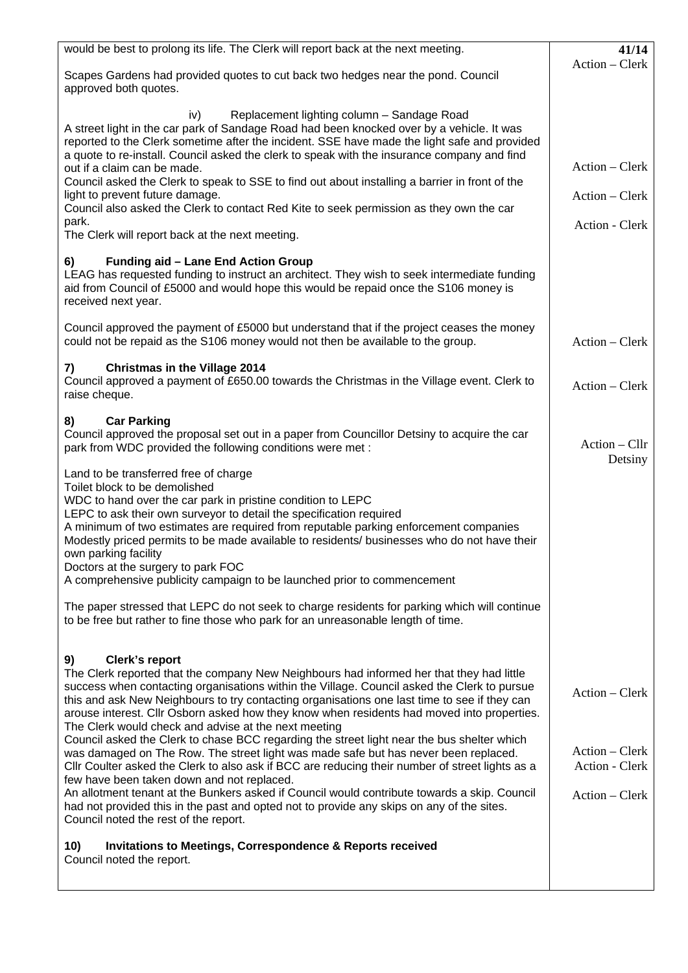| would be best to prolong its life. The Clerk will report back at the next meeting.                                                                                                                                                                                                                                                                                                                                                                                                                                                                                                                                                                                                                                                                                                                                                                                                                          | 41/14                                                                |
|-------------------------------------------------------------------------------------------------------------------------------------------------------------------------------------------------------------------------------------------------------------------------------------------------------------------------------------------------------------------------------------------------------------------------------------------------------------------------------------------------------------------------------------------------------------------------------------------------------------------------------------------------------------------------------------------------------------------------------------------------------------------------------------------------------------------------------------------------------------------------------------------------------------|----------------------------------------------------------------------|
| Scapes Gardens had provided quotes to cut back two hedges near the pond. Council<br>approved both quotes.                                                                                                                                                                                                                                                                                                                                                                                                                                                                                                                                                                                                                                                                                                                                                                                                   | Action - Clerk                                                       |
| iv)<br>Replacement lighting column - Sandage Road<br>A street light in the car park of Sandage Road had been knocked over by a vehicle. It was<br>reported to the Clerk sometime after the incident. SSE have made the light safe and provided<br>a quote to re-install. Council asked the clerk to speak with the insurance company and find<br>out if a claim can be made.<br>Council asked the Clerk to speak to SSE to find out about installing a barrier in front of the<br>light to prevent future damage.<br>Council also asked the Clerk to contact Red Kite to seek permission as they own the car<br>park.<br>The Clerk will report back at the next meeting.                                                                                                                                                                                                                                    | Action - Clerk<br>Action – Clerk<br>Action - Clerk                   |
| Funding aid - Lane End Action Group<br>6)<br>LEAG has requested funding to instruct an architect. They wish to seek intermediate funding<br>aid from Council of £5000 and would hope this would be repaid once the S106 money is<br>received next year.                                                                                                                                                                                                                                                                                                                                                                                                                                                                                                                                                                                                                                                     |                                                                      |
| Council approved the payment of £5000 but understand that if the project ceases the money<br>could not be repaid as the S106 money would not then be available to the group.                                                                                                                                                                                                                                                                                                                                                                                                                                                                                                                                                                                                                                                                                                                                | Action - Clerk                                                       |
| <b>Christmas in the Village 2014</b><br>7)<br>Council approved a payment of £650.00 towards the Christmas in the Village event. Clerk to<br>raise cheque.                                                                                                                                                                                                                                                                                                                                                                                                                                                                                                                                                                                                                                                                                                                                                   | Action - Clerk                                                       |
| <b>Car Parking</b><br>8)<br>Council approved the proposal set out in a paper from Councillor Detsiny to acquire the car<br>park from WDC provided the following conditions were met :                                                                                                                                                                                                                                                                                                                                                                                                                                                                                                                                                                                                                                                                                                                       | Action - Cllr<br>Detsiny                                             |
| Land to be transferred free of charge<br>Toilet block to be demolished<br>WDC to hand over the car park in pristine condition to LEPC<br>LEPC to ask their own surveyor to detail the specification required<br>A minimum of two estimates are required from reputable parking enforcement companies<br>Modestly priced permits to be made available to residents/ businesses who do not have their<br>own parking facility<br>Doctors at the surgery to park FOC<br>A comprehensive publicity campaign to be launched prior to commencement                                                                                                                                                                                                                                                                                                                                                                |                                                                      |
| The paper stressed that LEPC do not seek to charge residents for parking which will continue<br>to be free but rather to fine those who park for an unreasonable length of time.                                                                                                                                                                                                                                                                                                                                                                                                                                                                                                                                                                                                                                                                                                                            |                                                                      |
| Clerk's report<br>9)<br>The Clerk reported that the company New Neighbours had informed her that they had little<br>success when contacting organisations within the Village. Council asked the Clerk to pursue<br>this and ask New Neighbours to try contacting organisations one last time to see if they can<br>arouse interest. Cllr Osborn asked how they know when residents had moved into properties.<br>The Clerk would check and advise at the next meeting<br>Council asked the Clerk to chase BCC regarding the street light near the bus shelter which<br>was damaged on The Row. The street light was made safe but has never been replaced.<br>Cllr Coulter asked the Clerk to also ask if BCC are reducing their number of street lights as a<br>few have been taken down and not replaced.<br>An allotment tenant at the Bunkers asked if Council would contribute towards a skip. Council | Action – Clerk<br>Action – Clerk<br>Action - Clerk<br>Action - Clerk |
| had not provided this in the past and opted not to provide any skips on any of the sites.<br>Council noted the rest of the report.                                                                                                                                                                                                                                                                                                                                                                                                                                                                                                                                                                                                                                                                                                                                                                          |                                                                      |
| <b>Invitations to Meetings, Correspondence &amp; Reports received</b><br>10)<br>Council noted the report.                                                                                                                                                                                                                                                                                                                                                                                                                                                                                                                                                                                                                                                                                                                                                                                                   |                                                                      |